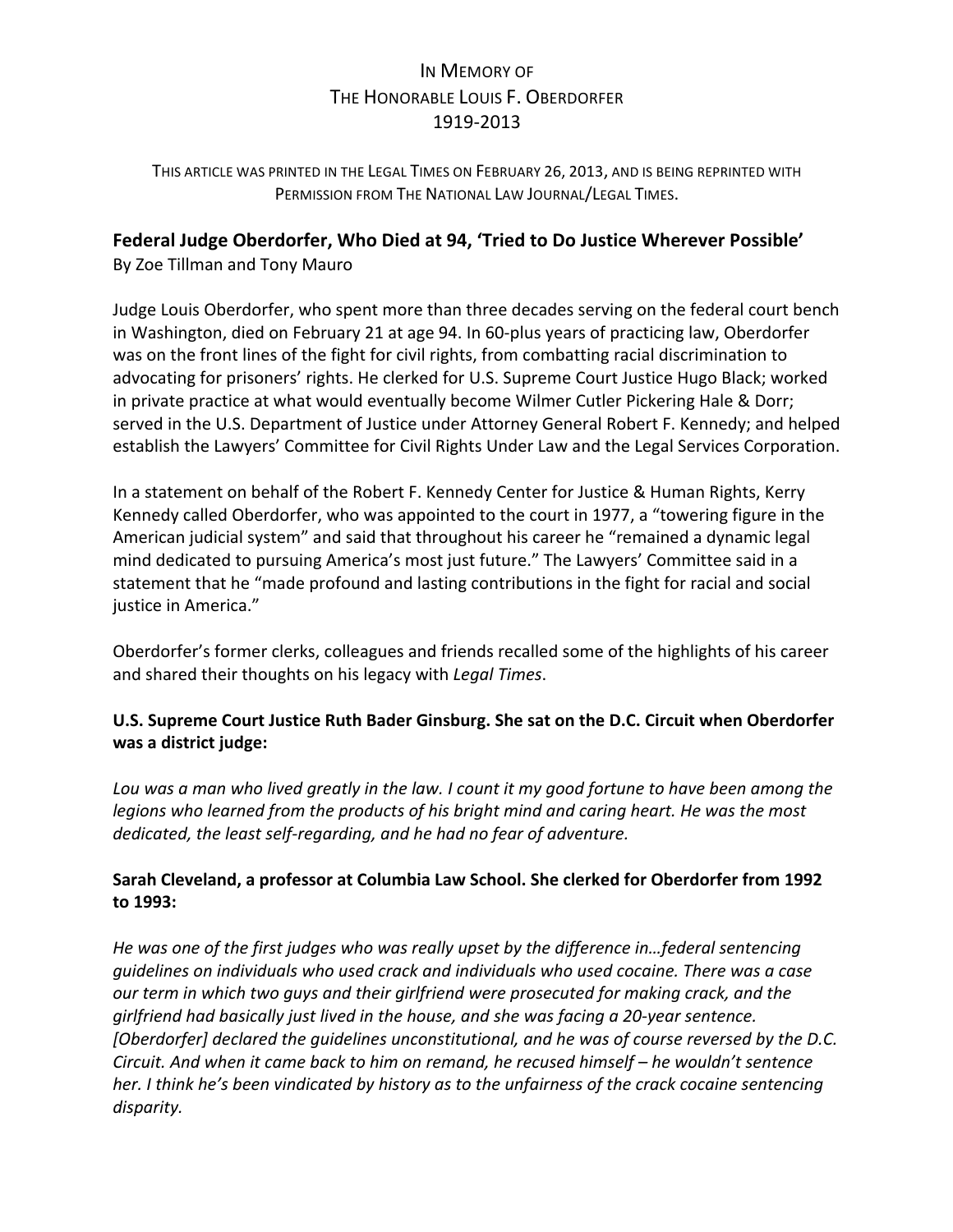# IN MEMORY OF THE HONORABLE LOUIS F. OBERDORFER 1919-2013

THIS ARTICLE WAS PRINTED IN THE LEGAL TIMES ON FEBRUARY 26, 2013, AND IS BEING REPRINTED WITH PERMISSION FROM THE NATIONAL LAW JOURNAL/LEGAL TIMES.

# Federal Judge Oberdorfer, Who Died at 94, 'Tried to Do Justice Wherever Possible'

By Zoe Tillman and Tony Mauro

Judge Louis Oberdorfer, who spent more than three decades serving on the federal court bench in Washington, died on February 21 at age 94. In 60-plus years of practicing law, Oberdorfer was on the front lines of the fight for civil rights, from combatting racial discrimination to advocating for prisoners' rights. He clerked for U.S. Supreme Court Justice Hugo Black; worked in private practice at what would eventually become Wilmer Cutler Pickering Hale & Dorr; served in the U.S. Department of Justice under Attorney General Robert F. Kennedy; and helped establish the Lawyers' Committee for Civil Rights Under Law and the Legal Services Corporation.

In a statement on behalf of the Robert F. Kennedy Center for Justice & Human Rights, Kerry Kennedy called Oberdorfer, who was appointed to the court in 1977, a "towering figure in the American judicial system" and said that throughout his career he "remained a dynamic legal mind dedicated to pursuing America's most just future." The Lawyers' Committee said in a statement that he "made profound and lasting contributions in the fight for racial and social justice in America."

Oberdorfer's former clerks, colleagues and friends recalled some of the highlights of his career and shared their thoughts on his legacy with *Legal Times*.

# U.S. Supreme Court Justice Ruth Bader Ginsburg. She sat on the D.C. Circuit when Oberdorfer **was a district judge:**

Lou was a man who lived greatly in the law. I count it my good fortune to have been among the *legions* who learned from the products of his bright mind and caring heart. He was the most dedicated, the least self-regarding, and he had no fear of adventure.

# Sarah Cleveland, a professor at Columbia Law School. She clerked for Oberdorfer from 1992 **to 1993:**

He was one of the first judges who was really upset by the difference in...federal sentencing *guidelines on individuals* who used crack and individuals who used cocaine. There was a case *our* term in which two guys and their girlfriend were prosecuted for making crack, and the *girlfriend had basically just lived in the house, and she was facing a 20-year sentence.* [Oberdorfer] declared the quidelines unconstitutional, and he was of course reversed by the D.C. *Circuit.* And when it came back to him on remand, he recused himself – he wouldn't sentence *her.* I think he's been vindicated by history as to the unfairness of the crack cocaine sentencing *disparity.*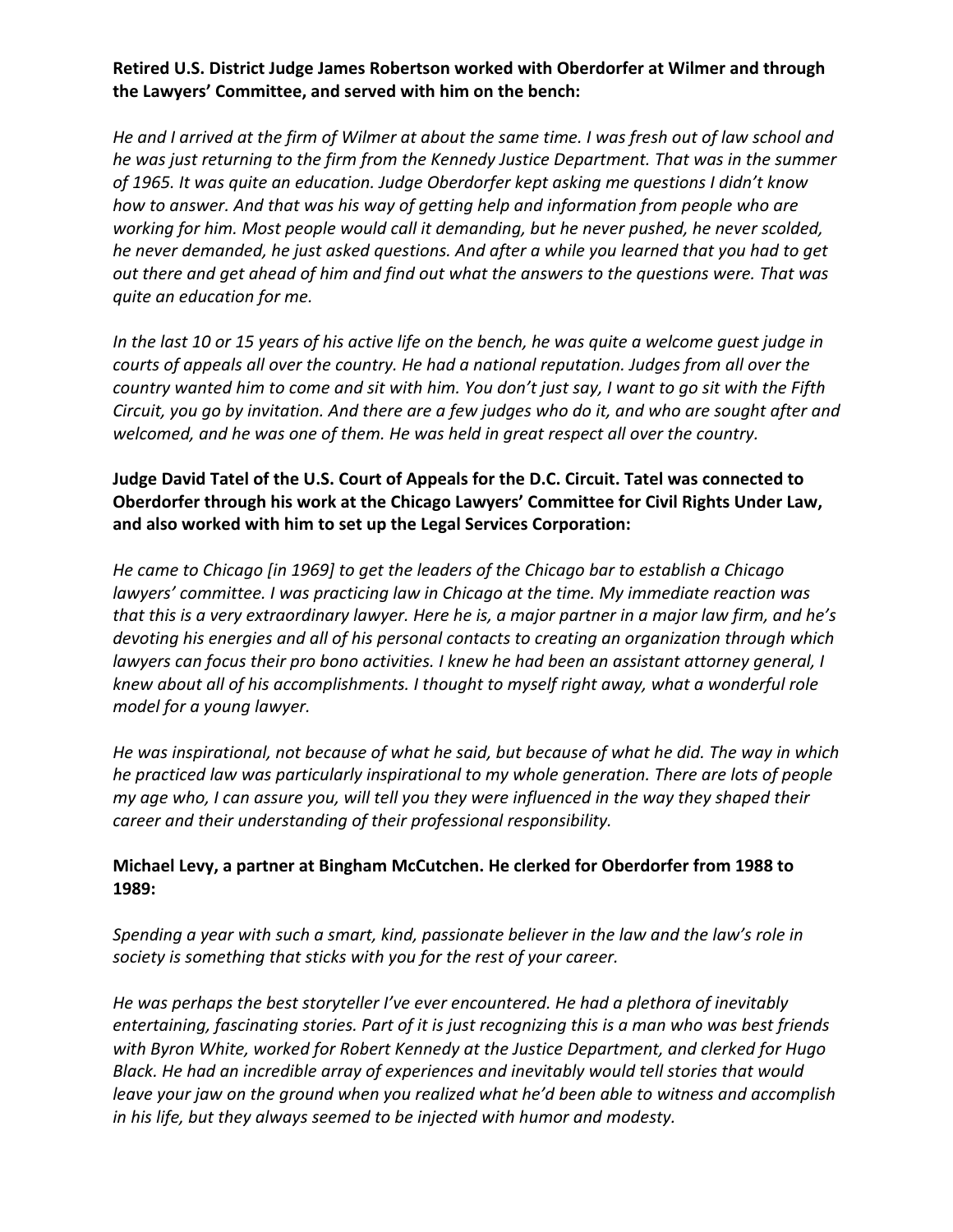# Retired U.S. District Judge James Robertson worked with Oberdorfer at Wilmer and through the Lawyers' Committee, and served with him on the bench:

He and I arrived at the firm of Wilmer at about the same time. I was fresh out of law school and *he* was just returning to the firm from the Kennedy Justice Department. That was in the summer of 1965. It was quite an education. Judge Oberdorfer kept asking me questions I didn't know *how to answer. And that was his way of getting help and information from people who are* working for him. Most people would call it demanding, but he never pushed, he never scolded, *he never demanded, he just asked questions. And after a while you learned that you had to get* out there and get ahead of him and find out what the answers to the questions were. That was *guite an education for me.* 

In the last 10 or 15 years of his active life on the bench, he was quite a welcome guest judge in courts of appeals all over the country. He had a national reputation. Judges from all over the *country* wanted him to come and sit with him. You don't just say, I want to go sit with the Fifth *Circuit, you go by invitation. And there are a few judges who do it, and who are sought after and* welcomed, and he was one of them. He was held in great respect all over the country.

#### Judge David Tatel of the U.S. Court of Appeals for the D.C. Circuit. Tatel was connected to **Oberdorfer through his work at the Chicago Lawyers' Committee for Civil Rights Under Law,** and also worked with him to set up the Legal Services Corporation:

*He came to Chicago [in 1969] to get the leaders of the Chicago bar to establish a Chicago lawyers'* committee. I was practicing law in Chicago at the time. My immediate reaction was *that this is a very extraordinary lawyer. Here he is, a major partner in a major law firm, and he's* devoting his energies and all of his personal contacts to creating an organization through which *lawyers can focus their pro bono activities. I knew he had been an assistant attorney general, I knew about all of his accomplishments. I thought to myself right away, what a wonderful role model for a young lawyer.*

He was inspirational, not because of what he said, but because of what he did. The way in which *he* practiced law was particularly inspirational to my whole generation. There are lots of people *my* age who, I can assure you, will tell you they were influenced in the way they shaped their career and their understanding of their professional responsibility.

#### Michael Levy, a partner at Bingham McCutchen. He clerked for Oberdorfer from 1988 to **1989:**

Spending a year with such a smart, kind, passionate believer in the law and the law's role in society is something that sticks with you for the rest of your career.

He was perhaps the best storyteller I've ever encountered. He had a plethora of inevitably entertaining, fascinating stories. Part of it is just recognizing this is a man who was best friends with Byron White, worked for Robert Kennedy at the Justice Department, and clerked for Hugo Black. He had an incredible array of experiences and inevitably would tell stories that would *leave your jaw on the ground when you realized what he'd been able to witness and accomplish* in his life, but they always seemed to be injected with humor and modesty.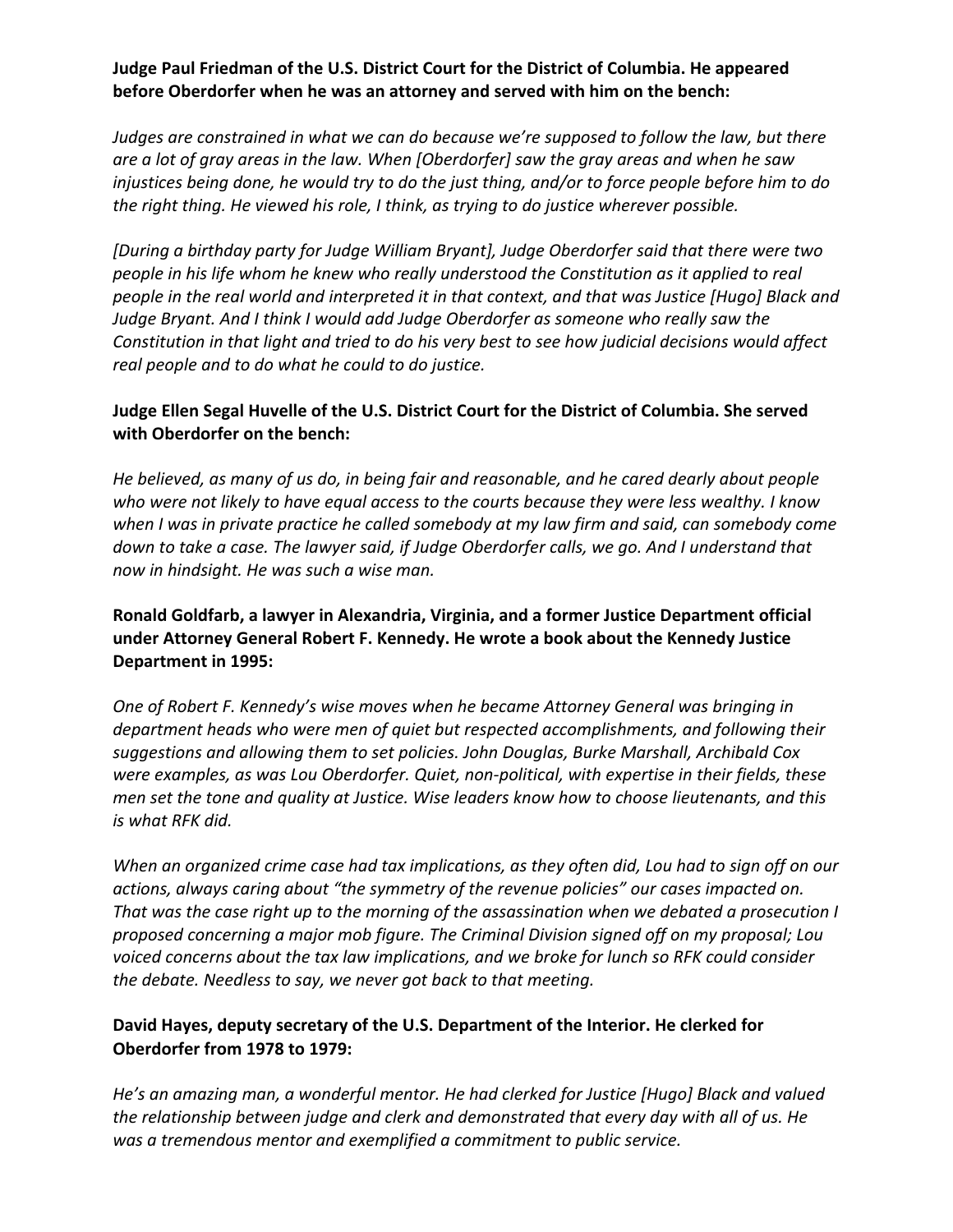#### Judge Paul Friedman of the U.S. District Court for the District of Columbia. He appeared **before Oberdorfer when he was an attorney and served with him on the bench:**

*Judges are constrained in what we can do because we're supposed to follow the law, but there* are a lot of gray areas in the law. When [Oberdorfer] saw the gray areas and when he saw *injustices being done, he would try to do the just thing, and/or to force people before him to do* the right thing. He viewed his role, I think, as trying to do justice wherever possible.

[During a birthday party for Judge William Bryant], Judge Oberdorfer said that there were two *people in his life whom he knew who really understood the Constitution as it applied to real people* in the real world and interpreted it in that context, and that was Justice [Hugo] Black and *Judge Bryant. And I think I would add Judge Oberdorfer as someone who really saw the Constitution in that light and tried to do his very best to see how judicial decisions would affect* real people and to do what he could to do justice.

# Judge Ellen Segal Huvelle of the U.S. District Court for the District of Columbia. She served **with Oberdorfer on the bench:**

He believed, as many of us do, in being fair and reasonable, and he cared dearly about people who were not likely to have equal access to the courts because they were less wealthy. I know when I was in private practice he called somebody at my law firm and said, can somebody come down to take a case. The lawyer said, if Judge Oberdorfer calls, we go. And I understand that *now in hindsight.* He was such a wise man.

Ronald Goldfarb, a lawyer in Alexandria, Virginia, and a former Justice Department official under Attorney General Robert F. Kennedy. He wrote a book about the Kennedy Justice **Department in 1995:** 

*One of Robert F. Kennedy's wise moves when he became Attorney General was bringing in* department heads who were men of quiet but respected accomplishments, and following their suggestions and allowing them to set policies. John Douglas, Burke Marshall, Archibald Cox were examples, as was Lou Oberdorfer. Quiet, non-political, with expertise in their fields, these *men set the tone and quality at Justice. Wise leaders know how to choose lieutenants, and this is what RFK did.*

*When* an organized crime case had tax implications, as they often did, Lou had to sign off on our actions, always caring about "the symmetry of the revenue policies" our cases impacted on. *That* was the case right up to the morning of the assassination when we debated a prosecution I proposed concerning a major mob figure. The Criminal Division signed off on my proposal; Lou *voiced concerns about the tax law implications, and we broke for lunch so RFK could consider the debate.* Needless to say, we never got back to that meeting.

# David Hayes, deputy secretary of the U.S. Department of the Interior. He clerked for **Oberdorfer from 1978 to 1979:**

He's an amazing man, a wonderful mentor. He had clerked for Justice [Hugo] Black and valued the relationship between judge and clerk and demonstrated that every day with all of us. He was a tremendous mentor and exemplified a commitment to public service.